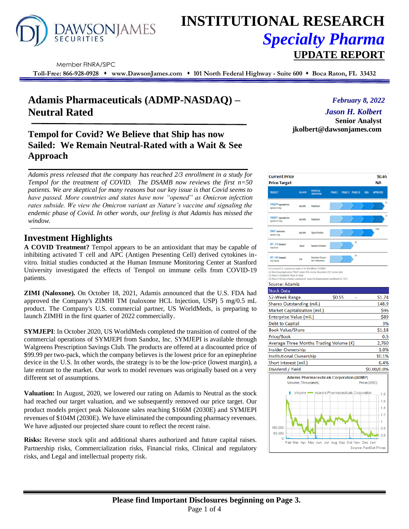

# **INSTITUTIONAL RESEARCH** *Specialty Pharma*  **UPDATE REPORT**

Member FINRA/SIPC

**Toll-Free: 866-928-0928** ⬧ **www.DawsonJames.com** ⬧ **101 North Federal Highway - Suite 600** ⬧ **Boca Raton, FL 33432**

## **Adamis Pharmaceuticals (ADMP-NASDAQ) – Neutral Rated**

### **Tempol for Covid? We Believe that Ship has now Sailed: We Remain Neutral-Rated with a Wait & See Approach**

*Adamis press released that the company has reached 2/3 enrollment in a study for Tempol for the treatment of COVID. The DSAMB now reviews the first n=50 patients. We are skeptical for many reasons but our key issue is that Covid seems to have passed. More countries and states have now "opened" as Omicron infection rates subside. We view the Omicron variant as Nature's vaccine and signaling the endemic phase of Covid. In other words, our feeling is that Adamis has missed the window.*

### **Investment Highlights**

**A COVID Treatment?** Tempol appears to be an antioxidant that may be capable of inhibiting activated T cell and APC (Antigen Presenting Cell) derived cytokines invitro. Initial studies conducted at the Human Immune Monitoring Center at Stanford University investigated the effects of Tempol on immune cells from COVID-19 patients.

**ZIMI (Naloxone).** On October 18, 2021, Adamis announced that the U.S. FDA had approved the Company's ZIMHI TM (naloxone HCL Injection, USP) 5 mg/0.5 mL product. The Company's U.S. commercial partner, US WorldMeds, is preparing to launch ZIMHI in the first quarter of 2022 commercially.

**SYMJEPI**: In October 2020, US WorldMeds completed the transition of control of the commercial operations of SYMJEPI from Sandoz, Inc. SYMJEPI is available through Walgreens Prescription Savings Club. The products are offered at a discounted price of \$99.99 per two-pack, which the company believes is the lowest price for an epinephrine device in the U.S. In other words, the strategy is to be the low-price (lowest margin), a late entrant to the market. Our work to model revenues was originally based on a very different set of assumptions.

**Valuation:** In August, 2020, we lowered our rating on Adamis to Neutral as the stock had reached our target valuation, and we subsequently removed our price target. Our product models project peak Naloxone sales reaching \$166M (2030E) and SYMJEPI revenues of \$104M (2030E). We have eliminated the compounding pharmacy revenues. We have adjusted our projected share count to reflect the recent raise.

**Risks:** Reverse stock split and additional shares authorized and future capital raises. Partnership risks, Commercialization risks, Financial risks, Clinical and regulatory risks, and Legal and intellectual property risk.

### *February 8, 2022*

### *Jason H. Kolbert*

**Senior Analyst jkolbert@dawsonjames.com**

| <b>Current Price</b><br><b>Price Target</b>                                                                                                          |                    |                                                  |                |                    |             | \$0.65<br>NΑ    |
|------------------------------------------------------------------------------------------------------------------------------------------------------|--------------------|--------------------------------------------------|----------------|--------------------|-------------|-----------------|
| <b>PRODUCT</b>                                                                                                                                       | DELIVERY           | POTENTIAL<br>Indication                          | <b>PHASE I</b> | PHASE II PHASE III | <b>NDA</b>  | <b>APPROVED</b> |
| SYMJEPI* inpinephrine)<br><b>Injection 0.3mg</b>                                                                                                     | <b>Injectable</b>  | Anaphylaxis                                      |                |                    |             |                 |
| SYMJEPI* (epinephrine)<br>Injection 0.15mg                                                                                                           | <b>Isinctable</b>  | Anaphylaxis                                      |                |                    |             |                 |
| ZIMH <sup>*</sup> inalquane)<br><b>Injection Smg</b>                                                                                                 | <b>Islactuble</b>  | Opioid Overdose                                  |                |                    |             | 02              |
| APC-410 (tempol)<br>Topical Gel                                                                                                                      | Topical            | <b>Radiation Demutitis</b>                       |                | Ō                  |             |                 |
| APC-400 (tempol)<br>Oral Capsule                                                                                                                     | Ool                | Respiratory Disease /<br>Arti-Infannatory        |                | ib.                |             |                 |
| (3) Phase II completed, Phase III ready<br>(4) Phase II/III trial activities commenced; expect to begin patient enrollment Q3 2021<br>Source: Adamis |                    |                                                  |                |                    |             |                 |
| <b>Stock Data</b>                                                                                                                                    |                    |                                                  | \$0.55         | L.                 |             | \$1.74          |
| 52-Week Range<br>Shares Outstanding (mil.)                                                                                                           |                    |                                                  |                |                    |             | 148.9           |
| Market Capitalization (mil.)                                                                                                                         |                    |                                                  |                |                    |             | \$96            |
| <b>Enterprise Value (mil.)</b>                                                                                                                       |                    |                                                  |                |                    |             | \$89            |
| Debt to Capital                                                                                                                                      |                    |                                                  |                |                    |             | 3%              |
| <b>Book Value/Share</b>                                                                                                                              |                    |                                                  |                |                    |             | \$1.18          |
| Price/Book                                                                                                                                           |                    |                                                  |                |                    |             | 0.5             |
| Average Three Months Trading Volume (K)                                                                                                              |                    |                                                  |                |                    |             | 2,760           |
| <b>Insider Ownership</b>                                                                                                                             |                    |                                                  |                |                    |             | 1.0%            |
| <b>Institutional Ownership</b>                                                                                                                       |                    |                                                  |                |                    |             | 10.1%           |
| Short interest (mil.)                                                                                                                                |                    |                                                  |                |                    |             | 6.4%            |
| Dividend / Yield                                                                                                                                     |                    |                                                  |                |                    |             | \$0.00/0.0%     |
|                                                                                                                                                      | Volume (Thousands) | <b>Adamis Pharmaceuticals Corporation (ADMP)</b> |                |                    | Price (USD) |                 |
|                                                                                                                                                      |                    | Volume - Adamis Pharmaceuticals Corporation      |                |                    |             | 1.8             |
|                                                                                                                                                      |                    |                                                  |                |                    |             | 1.6             |
|                                                                                                                                                      |                    |                                                  |                |                    |             | $-1.4$          |
|                                                                                                                                                      |                    |                                                  |                |                    |             | 1.2             |
|                                                                                                                                                      |                    |                                                  |                |                    |             | 1               |
|                                                                                                                                                      |                    |                                                  |                |                    |             |                 |
| 160,000                                                                                                                                              |                    |                                                  |                |                    |             | 0.8             |
| 80.000<br>Ō                                                                                                                                          |                    |                                                  |                |                    |             | 0.6             |

Source: FactSet Prices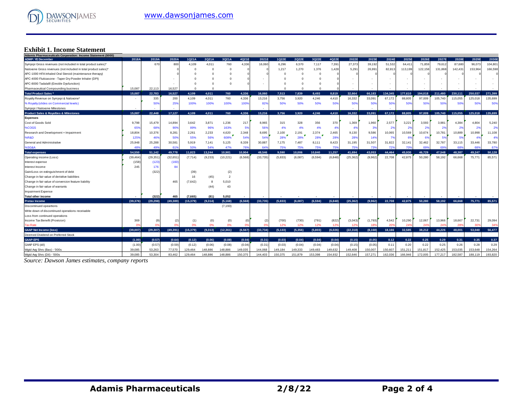

### **Exhibit 1. Income Statement**

| Adamis Pharmaceuticals Corporation: Income Statement (\$000)   |                          |           |           |           |          |             |          |           |          |            |                |          |           |          |                 |         |                 |         |         |                |         |
|----------------------------------------------------------------|--------------------------|-----------|-----------|-----------|----------|-------------|----------|-----------|----------|------------|----------------|----------|-----------|----------|-----------------|---------|-----------------|---------|---------|----------------|---------|
| <b>ADMP: YE December</b>                                       | 2018A                    | 2019A     | 2020A     | 1Q21A     | 2Q21A    | 3Q21A       | 4Q21E    | 2021E     | 1Q22E    | 2Q22E      | 3Q22E          | 4Q22E    | 2022E     | 2023E    | 2024E           | 2025E   | 2026E           | 2027E   | 2028E   | 2029E          | 2030E   |
| Symjepi Gross revenues (not included in total product sales)*  |                          | 67C       | 800       | 4,109     | 4,011    | 760         | 4,336    | 16,060    | 6,296    | 6,570      | 7,117          | 7,391    | 27,373    | 39,192   | 51,532          | 64,411  | 71,859          | 79,612  | 87,680  | 96,073         | 104,801 |
| Naloxone Gross revenues (not included in total product sales)* |                          |           |           |           |          | $\mathbf 0$ |          |           | 1,217    | 1,270      | 1,376          | 1,428    | 5,291     | 26,99'   | 82,813          | 113,199 | 122,158         | 131,868 | 142,431 | 153,964        | 166,598 |
| APC-1000 HFA Inhaled Oral Steroid (maintenance therapy)        |                          |           |           |           |          | $\Omega$    |          |           |          | $\sqrt{2}$ | $\overline{0}$ |          |           |          |                 |         |                 |         |         |                |         |
| APC-4000 Fluticasone - Taper Dry Powder Inhaler (DPI)          |                          |           |           |           |          |             |          |           |          |            | $\Omega$       |          |           |          |                 |         |                 |         |         |                |         |
| APC-8000 Tadalafil (Erectile Dysfunction)                      |                          |           |           |           |          |             |          |           |          |            | $\Omega$       |          |           |          |                 |         |                 |         |         |                |         |
| Pharmaceutical Compounding business                            | 15,087                   | 22,113    | 16,527    | $\Omega$  | $\Omega$ |             |          |           |          | $\sqrt{2}$ | $\Omega$       |          |           |          |                 |         |                 |         |         |                |         |
| <b>Total Product Sales*</b>                                    | 15.087                   | 22,783    | 16.527    | 4,109     | 4,011    | 760         | 4.336    | 16.060    | 7,513    | 7.839      | 8.493          | 8,819    | 32.664    | 66,183   | 134.345         | 177.610 | 194.018         | 211.480 | 230.111 | 250.037        | 271.399 |
| Royalty Revenue on Symjepi & Naloxone*                         | $\overline{\phantom{a}}$ | 335       | 200       | 4,109     | 4,011    | 760         | 4,336    | 13,216    | 3,756    | 3.920      | 4,246          | 4.410    | 16,332    | 33,091   | 67.172          | 88.805  | 97,009          | 105.740 | 115.055 | 125.018        | 135,699 |
| % Royalty (slides on Commercial levels)                        |                          | 50        | 25%       | 100%      | 100%     | 100%        | 100%     | 82%       | 50%      | 50%        | 50%            | 50%      | 50%       | 50%      | 50%             | 50%     | 50%             | 50%     | 50%     | 50%            | 50%     |
| Symjepi / Naloxone Milestones                                  |                          |           |           |           |          |             |          |           |          |            |                |          |           |          |                 |         |                 |         |         |                |         |
| <b>Product Sales &amp; Royalties &amp; Milestones</b>          | 15.087                   | 22,448    | 17,127    | 4,109     | 4,011    | 760         | 4.336    | 13,216    | 3,756    | 3.920      | 4.246          | 4.410    | 16.332    | 33.091   | 67,172          | 88.805  | 97,009          | 105.740 | 115.055 | 125,018        | 135,699 |
| <b>Expenses</b>                                                |                          |           |           |           |          |             |          |           |          |            |                |          |           |          |                 |         |                 |         |         |                |         |
| Cost of Goods Sold                                             | 9,798                    | 15,479    | 14,894    | 3,642     | 3,871    | 1,236       | 217      | 8,965     | 315      | 328        | 356            | 370      | 1,369     | 1,960    | 2,577           | 3,221   | 3,593           | 3,981   | 4,384   | 4,804          | 5,240   |
| %COGS                                                          | 65%                      | 689       | 90%       | 89%       | 96%      | 163%        | 5%       | 56%       | 4%       | 4%         | 4%             | 4%       | 4%        | 3%       | 2%              | 2%      | 2 <sup>9</sup>  |         | 2%      | 2 <sup>9</sup> | 2%      |
| Research and Development + Impairment                          | 18,804                   | 10,376    | 8,28      | 2,261     | 2,233    | 4,620       | 2,348    | 8,695     | 2,100    | 2,191      | 2,374          | 2,465    | 9,130     | 9,586    | 10,065          | 10,569  | 10,674          | 10,781  | 10,889  | 10,998         | 11,108  |
| %R&D                                                           | 125%                     | 46        | 50%       | 55%       | 56%      | 608%        | 54%      | 54%       | 28%      | 28%        | 28%            | 28%      | 28%       | 14%      | 7%              | 6%      | 6%              | .59     | 5%      | -49            | 4%      |
| General and Administrative                                     | 25,948                   | 25,288    | 30,58'    | 5,919     | 7.141    | 5,125       | 8,339    | 30,887    | 7,175    | 7.487      | 8,111          | 8,423    | 31,195    | 31,507   | 31,822          | 32,141  | 32,462          | 32,787  | 33,115  | 33.446         | 33,780  |
| %SG&A                                                          | 489                      | 49        | 61        | 50%       | 54%      | 47%         | 76%      | 649       | 75%      | 75%        | 75%            | 75%      | 75%       | 73%      | 72%             | 70%     | 69%             | 69%     | 68%     | 68             | 67%     |
| <b>Total expenses</b>                                          | 54,550                   | 51.142    | 49,778    | 11.823    | 13.244   | 10.981      | 10.904   | 48.546    | 9.590    | 10.006     | 10.840         | 11.257   | 41.694    | 43.053   | 44,464          | 45,930  | 46.729          | 47.548  | 48.387  | 49.247         | 50,128  |
| Operating income (Loss)                                        | (39, 464)                | (29, 351) | (32, 651) | (7, 714)  | (9,233)  | (10, 221)   | (6, 568) | (33, 735) | (5,833)  | (6,087)    | (6, 594)       | (6, 848) | (25, 362) | (9,962)  | 22,708          | 42.875  | 50,280          | 58,192  | 66,668  | 75,771         | 85,571  |
| Interest expense                                               | (158)                    | (123)     | (160)     |           |          |             |          |           |          |            |                |          |           |          |                 |         |                 |         |         |                |         |
| Interest Income                                                | 245                      | 176       | 84        |           |          |             |          |           |          |            |                |          |           |          |                 |         |                 |         |         |                |         |
| Gain/Loss on extinguishment of debt                            |                          | (322)     |           | (39)      |          | (2)         |          |           |          |            |                |          |           |          |                 |         |                 |         |         |                |         |
| Change in fair value of derivitive liabilities                 |                          |           |           | 16        | (45)     | 2           |          |           |          |            |                |          |           |          |                 |         |                 |         |         |                |         |
| Change in fair value of conversion feature liability           |                          |           | 465       | (7,642)   | 8        | 5,010       |          |           |          |            |                |          |           |          |                 |         |                 |         |         |                |         |
| Change in fair value of warrants                               |                          |           |           |           | (44)     | 43          |          |           |          |            |                |          |           |          |                 |         |                 |         |         |                |         |
| <b>Impairment Expense</b>                                      |                          |           |           |           |          |             |          |           |          |            |                |          |           |          |                 |         |                 |         |         |                |         |
| <b>Total other income</b>                                      |                          | (322)     | 465       | (7,665)   | (81)     | 5.052       |          |           |          |            |                |          |           |          |                 |         |                 |         |         |                |         |
| <b>Pretax Income</b>                                           | (39.376)                 | (29.298)  | (49, 389) | (15, 379) | (9,314)  | (5, 168)    | (6.568)  | (33, 735) | (5.833)  | (6.087)    | (6.594)        | (6.848)  | (25.362)  | (9.962)  | 22.708          | 42.875  | 50.280          | 58.192  | 66.668  | 75.771         | 85.571  |
| Discontinued opeartions                                        |                          |           |           |           |          | (7, 193)    |          |           |          |            |                |          |           |          |                 |         |                 |         |         |                |         |
| Write down of discontinued operations receivable               |                          |           |           |           |          |             |          |           |          |            |                |          |           |          |                 |         |                 |         |         |                |         |
| Loss from continued operations                                 |                          |           |           |           |          |             |          |           |          |            |                |          |           |          |                 |         |                 |         |         |                |         |
| Income Tax Benefit (Provision)                                 | 369                      |           |           | (1)       | (0)      | (0)         | (0)      | (2)       | (700)    | (730)      | (791)          | (822)    | (3,043)   | (1,793)  | 4,542           | 10,290  | 12,067          | 13,966  | 18,667  | 22,731         | 29,094  |
| <b>Tax Rate</b>                                                | $\Omega$ <sup>o</sup>    |           |           | 0%        | 0%       | 0%          | 0%       |           | 12%      | 12%        | 12%            | 12%      | 12%       | 18%      | 20 <sup>o</sup> | 24%     | 24 <sup>o</sup> | 24%     | 28%     | 309            | 34%     |
| <b>GAAP Net Income (loss)</b>                                  | (39.007)                 | (29.307)  | (49, 391) | (15.379)  | (9,313)  | (12, 361)   | (6, 567) | (33.734)  | (5, 133) | (5,356)    | (5,803)        | (6.026)  | (22, 318) | (8, 168) | 18,166          | 32.585  | 38.212          | 44.226  | 48.001  | 53,040         | 56,477  |
| Deemed Dividend on Preferred Stock                             |                          |           |           |           |          |             |          |           |          |            |                |          |           |          |                 |         |                 |         |         |                |         |
| GAAP-EPS                                                       | (1.00)                   | (0.57)    | (0.64)    | (0.12)    | (0.06)   | (0.08)      | (0.04)   | (0.31)    | (0.03)   | (0.04)     | (0.04)         | (0.04)   | (0.15)    | (0.05)   | 0.12            | 0.22    | 0.25            | 0.29    | 0.31    | 0.35           | 0.37    |
| GAAP EPS (dil)                                                 | (1.00)                   | (0.57)    | (0.59)    | (0.12)    | (0.06)   | (0.08)      | (0.04)   | (0.31)    | (0.03)   | (0.04)     | (0.04)         | (0.04)   | (0.15)    | (0.05)   | 0.11            | 0.20    | 0.22            | 0.25    | 0.26    | 0.28           | 0.29    |
| Wgtd Avg Shrs (Bas) - '000s                                    | 39,085                   | 53,263    | 77,570    | 129.464   | 148,886  | 148,886     | 149,035  | 144.068   | 149.184  | 149.333    | 149.483        | 149.632  | 149.408   | 150.007  | 150,607         | 151.211 | 151,817         | 152,425 | 153.035 | 153.648        | 154,264 |
| Watd Ava Shrs (Dil) - '000s                                    | 39.085                   | 53,304    | 83.462    | 129.464   | 148.886  | 148.886     | 150.375  | 144,403   | 150.375  | 151.879    | 153.398        | 154.932  | 152.646   | 157.271  | 162.036         | 166.946 | 172.005         | 177.217 | 182.587 | 188.119        | 193.820 |

*Source: Dawson James estimates, company reports*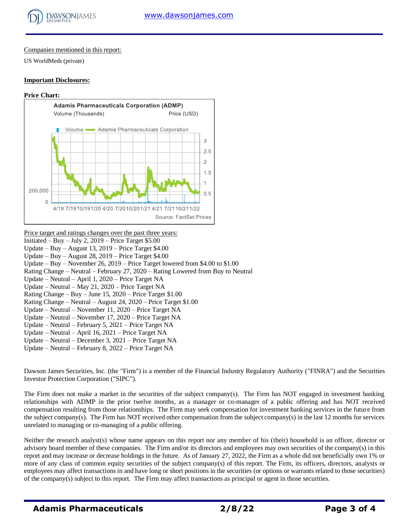

#### Companies mentioned in this report:

US WorldMeds (private)

#### **Important Disclosures:**

#### **Price Chart:**



| <u>Price target and ratings changes over the past three years:</u>               |
|----------------------------------------------------------------------------------|
| Initiated – Buy – July 2, $2019$ – Price Target \$5.00                           |
| Update – Buy – August 13, 2019 – Price Target $$4.00$                            |
| Update – Buy – August 28, 2019 – Price Target $$4.00$                            |
| Update – Buy – November 26, 2019 – Price Target lowered from \$4.00 to \$1.00    |
| Rating Change – Neutral – February 27, 2020 – Rating Lowered from Buy to Neutral |
| Update – Neutral – April 1, 2020 – Price Target NA                               |
| Update – Neutral – May 21, 2020 – Price Target NA                                |
| Rating Change – Buy – June 15, $2020$ – Price Target \$1.00                      |
| Rating Change – Neutral – August 24, 2020 – Price Target \$1.00                  |
| Update – Neutral – November 11, 2020 – Price Target NA                           |
| Update – Neutral – November 17, 2020 – Price Target NA                           |
| Update – Neutral – February 5, 2021 – Price Target NA                            |
| Update – Neutral – April 16, 2021 – Price Target NA                              |
| Update – Neutral – December 3, 2021 – Price Target NA                            |
| Update – Neutral – February 8, $2022$ – Price Target NA                          |
|                                                                                  |

Dawson James Securities, Inc. (the "Firm") is a member of the Financial Industry Regulatory Authority ("FINRA") and the Securities Investor Protection Corporation ("SIPC").

The Firm does not make a market in the securities of the subject company(s). The Firm has NOT engaged in investment banking relationships with ADMP in the prior twelve months, as a manager or co-manager of a public offering and has NOT received compensation resulting from those relationships. The Firm may seek compensation for investment banking services in the future from the subject company(s). The Firm has NOT received other compensation from the subject company(s) in the last 12 months for services unrelated to managing or co-managing of a public offering.

Neither the research analyst(s) whose name appears on this report nor any member of his (their) household is an officer, director or advisory board member of these companies. The Firm and/or its directors and employees may own securities of the company(s) in this report and may increase or decrease holdings in the future. As of January 27, 2022, the Firm as a whole did not beneficially own 1% or more of any class of common equity securities of the subject company(s) of this report. The Firm, its officers, directors, analysts or employees may affect transactions in and have long or short positions in the securities (or options or warrants related to those securities) of the company(s) subject to this report. The Firm may affect transactions as principal or agent in those securities.